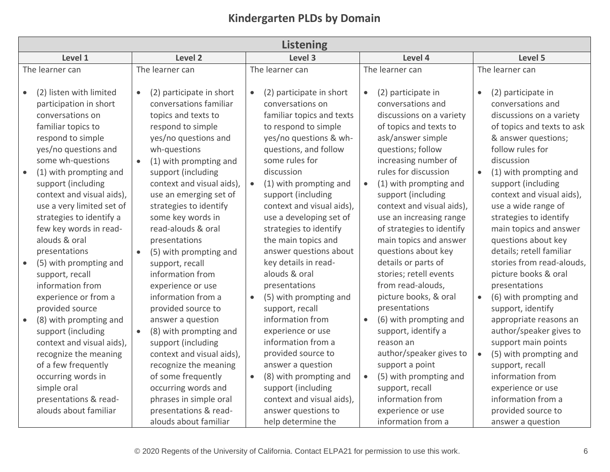| <b>Kindergarten PLDs by Domain</b> |  |  |  |
|------------------------------------|--|--|--|
|------------------------------------|--|--|--|

| <b>Listening</b>                                                                                                                                                                                                                                                                                                              |                                                                                                                                                                                                                                                                                                                                 |                        |                                                                                                                                                                                                                                                                                                                        |           |                                                                                                                                                                                                                                                                                                                                            |                        |                                                                                                                                                                                                                                                                                                                                                              |
|-------------------------------------------------------------------------------------------------------------------------------------------------------------------------------------------------------------------------------------------------------------------------------------------------------------------------------|---------------------------------------------------------------------------------------------------------------------------------------------------------------------------------------------------------------------------------------------------------------------------------------------------------------------------------|------------------------|------------------------------------------------------------------------------------------------------------------------------------------------------------------------------------------------------------------------------------------------------------------------------------------------------------------------|-----------|--------------------------------------------------------------------------------------------------------------------------------------------------------------------------------------------------------------------------------------------------------------------------------------------------------------------------------------------|------------------------|--------------------------------------------------------------------------------------------------------------------------------------------------------------------------------------------------------------------------------------------------------------------------------------------------------------------------------------------------------------|
| Level 1                                                                                                                                                                                                                                                                                                                       | Level 2                                                                                                                                                                                                                                                                                                                         |                        | Level 3                                                                                                                                                                                                                                                                                                                |           | Level 4                                                                                                                                                                                                                                                                                                                                    |                        | Level 5                                                                                                                                                                                                                                                                                                                                                      |
| The learner can                                                                                                                                                                                                                                                                                                               | The learner can                                                                                                                                                                                                                                                                                                                 |                        | The learner can                                                                                                                                                                                                                                                                                                        |           | The learner can                                                                                                                                                                                                                                                                                                                            |                        | The learner can                                                                                                                                                                                                                                                                                                                                              |
| (2) listen with limited<br>participation in short<br>conversations on<br>familiar topics to<br>respond to simple<br>yes/no questions and<br>some wh-questions<br>(1) with prompting and<br>support (including<br>context and visual aids),<br>use a very limited set of<br>strategies to identify a<br>few key words in read- | (2) participate in short<br>$\bullet$<br>conversations familiar<br>topics and texts to<br>respond to simple<br>yes/no questions and<br>wh-questions<br>(1) with prompting and<br>support (including<br>context and visual aids),<br>use an emerging set of<br>strategies to identify<br>some key words in<br>read-alouds & oral | $\bullet$<br>$\bullet$ | (2) participate in short<br>conversations on<br>familiar topics and texts<br>to respond to simple<br>yes/no questions & wh-<br>questions, and follow<br>some rules for<br>discussion<br>(1) with prompting and<br>support (including<br>context and visual aids),<br>use a developing set of<br>strategies to identify | $\bullet$ | (2) participate in<br>conversations and<br>discussions on a variety<br>of topics and texts to<br>ask/answer simple<br>questions; follow<br>increasing number of<br>rules for discussion<br>(1) with prompting and<br>support (including<br>context and visual aids),<br>use an increasing range<br>of strategies to identify               | $\bullet$<br>$\bullet$ | (2) participate in<br>conversations and<br>discussions on a variety<br>of topics and texts to ask<br>& answer questions;<br>follow rules for<br>discussion<br>(1) with prompting and<br>support (including<br>context and visual aids),<br>use a wide range of<br>strategies to identify<br>main topics and answer                                           |
| alouds & oral<br>presentations<br>(5) with prompting and<br>support, recall<br>information from<br>experience or from a<br>provided source<br>(8) with prompting and<br>support (including<br>context and visual aids),<br>recognize the meaning<br>of a few frequently<br>occurring words in<br>simple oral                  | presentations<br>(5) with prompting and<br>support, recall<br>information from<br>experience or use<br>information from a<br>provided source to<br>answer a question<br>(8) with prompting and<br>support (including<br>context and visual aids),<br>recognize the meaning<br>of some frequently<br>occurring words and         | $\bullet$<br>$\bullet$ | the main topics and<br>answer questions about<br>key details in read-<br>alouds & oral<br>presentations<br>(5) with prompting and<br>support, recall<br>information from<br>experience or use<br>information from a<br>provided source to<br>answer a question<br>(8) with prompting and<br>support (including         | $\bullet$ | main topics and answer<br>questions about key<br>details or parts of<br>stories; retell events<br>from read-alouds,<br>picture books, & oral<br>presentations<br>(6) with prompting and<br>support, identify a<br>reason an<br>author/speaker gives to<br>support a point<br>(5) with prompting and<br>support, recall<br>information from | $\bullet$<br>$\bullet$ | questions about key<br>details; retell familiar<br>stories from read-alouds,<br>picture books & oral<br>presentations<br>(6) with prompting and<br>support, identify<br>appropriate reasons an<br>author/speaker gives to<br>support main points<br>(5) with prompting and<br>support, recall<br>information from<br>experience or use<br>information from a |
| presentations & read-<br>alouds about familiar                                                                                                                                                                                                                                                                                | phrases in simple oral<br>presentations & read-<br>alouds about familiar                                                                                                                                                                                                                                                        |                        | context and visual aids),<br>answer questions to<br>help determine the                                                                                                                                                                                                                                                 |           | experience or use<br>information from a                                                                                                                                                                                                                                                                                                    |                        | provided source to<br>answer a question                                                                                                                                                                                                                                                                                                                      |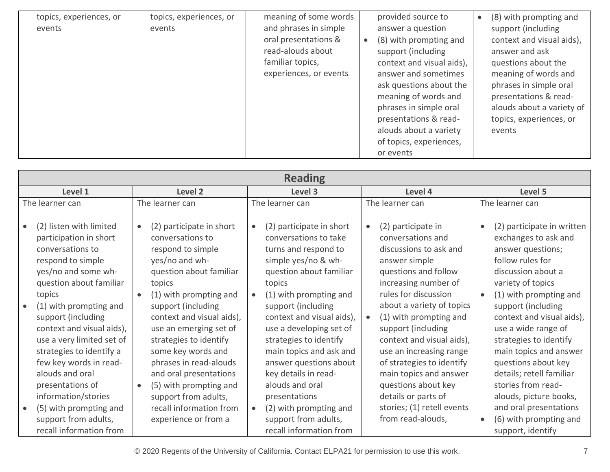| topics, experiences, or<br>events | topics, experiences, or | meaning of some words<br>and phrases in simple                                          | provided source to                                                                                                                                                                                                                                                                                          | (8) with prompting and<br>$\bullet$                                                                                                                                                                                                   |
|-----------------------------------|-------------------------|-----------------------------------------------------------------------------------------|-------------------------------------------------------------------------------------------------------------------------------------------------------------------------------------------------------------------------------------------------------------------------------------------------------------|---------------------------------------------------------------------------------------------------------------------------------------------------------------------------------------------------------------------------------------|
|                                   | events                  | oral presentations &<br>read-alouds about<br>familiar topics,<br>experiences, or events | answer a question<br>(8) with prompting and<br>$\bullet$<br>support (including<br>context and visual aids),<br>answer and sometimes<br>ask questions about the<br>meaning of words and<br>phrases in simple oral<br>presentations & read-<br>alouds about a variety<br>of topics, experiences,<br>or events | support (including<br>context and visual aids),<br>answer and ask<br>questions about the<br>meaning of words and<br>phrases in simple oral<br>presentations & read-<br>alouds about a variety of<br>topics, experiences, or<br>events |

| <b>Reading</b>                                                                                                                                                                                                                                                                                                                                                |                                                                                                                                                                                                                                                                                                                                                                            |                                                                                                                                                                                                                                                                                                                                                                         |                                                                                                                                                                                                                                                                                                                                                                                            |                                                                                                                                                                                                                                                                                                                                                                                                   |  |
|---------------------------------------------------------------------------------------------------------------------------------------------------------------------------------------------------------------------------------------------------------------------------------------------------------------------------------------------------------------|----------------------------------------------------------------------------------------------------------------------------------------------------------------------------------------------------------------------------------------------------------------------------------------------------------------------------------------------------------------------------|-------------------------------------------------------------------------------------------------------------------------------------------------------------------------------------------------------------------------------------------------------------------------------------------------------------------------------------------------------------------------|--------------------------------------------------------------------------------------------------------------------------------------------------------------------------------------------------------------------------------------------------------------------------------------------------------------------------------------------------------------------------------------------|---------------------------------------------------------------------------------------------------------------------------------------------------------------------------------------------------------------------------------------------------------------------------------------------------------------------------------------------------------------------------------------------------|--|
| Level 1                                                                                                                                                                                                                                                                                                                                                       | Level 2                                                                                                                                                                                                                                                                                                                                                                    | Level 3                                                                                                                                                                                                                                                                                                                                                                 | Level 4                                                                                                                                                                                                                                                                                                                                                                                    | Level 5                                                                                                                                                                                                                                                                                                                                                                                           |  |
| The learner can                                                                                                                                                                                                                                                                                                                                               | The learner can                                                                                                                                                                                                                                                                                                                                                            | The learner can                                                                                                                                                                                                                                                                                                                                                         | The learner can                                                                                                                                                                                                                                                                                                                                                                            | The learner can                                                                                                                                                                                                                                                                                                                                                                                   |  |
| (2) listen with limited<br>participation in short<br>conversations to<br>respond to simple<br>yes/no and some wh-<br>question about familiar<br>topics<br>(1) with prompting and<br>support (including<br>context and visual aids),<br>use a very limited set of<br>strategies to identify a<br>few key words in read-<br>alouds and oral<br>presentations of | (2) participate in short<br>$\bullet$<br>conversations to<br>respond to simple<br>yes/no and wh-<br>question about familiar<br>topics<br>(1) with prompting and<br>support (including<br>context and visual aids),<br>use an emerging set of<br>strategies to identify<br>some key words and<br>phrases in read-alouds<br>and oral presentations<br>(5) with prompting and | (2) participate in short<br>conversations to take<br>turns and respond to<br>simple yes/no & wh-<br>question about familiar<br>topics<br>(1) with prompting and<br>support (including<br>context and visual aids),<br>use a developing set of<br>strategies to identify<br>main topics and ask and<br>answer questions about<br>key details in read-<br>alouds and oral | (2) participate in<br>$\bullet$<br>conversations and<br>discussions to ask and<br>answer simple<br>questions and follow<br>increasing number of<br>rules for discussion<br>about a variety of topics<br>(1) with prompting and<br>support (including<br>context and visual aids),<br>use an increasing range<br>of strategies to identify<br>main topics and answer<br>questions about key | (2) participate in written<br>$\bullet$<br>exchanges to ask and<br>answer questions;<br>follow rules for<br>discussion about a<br>variety of topics<br>(1) with prompting and<br>$\bullet$<br>support (including<br>context and visual aids),<br>use a wide range of<br>strategies to identify<br>main topics and answer<br>questions about key<br>details; retell familiar<br>stories from read- |  |
| information/stories<br>(5) with prompting and<br>support from adults,<br>recall information from                                                                                                                                                                                                                                                              | support from adults,<br>recall information from<br>experience or from a                                                                                                                                                                                                                                                                                                    | presentations<br>(2) with prompting and<br>$\bullet$<br>support from adults,<br>recall information from                                                                                                                                                                                                                                                                 | details or parts of<br>stories; (1) retell events<br>from read-alouds,                                                                                                                                                                                                                                                                                                                     | alouds, picture books,<br>and oral presentations<br>(6) with prompting and<br>$\bullet$<br>support, identify                                                                                                                                                                                                                                                                                      |  |

© 2020 Regents of the University of California. Contact ELPA21 for permission to use this work. 7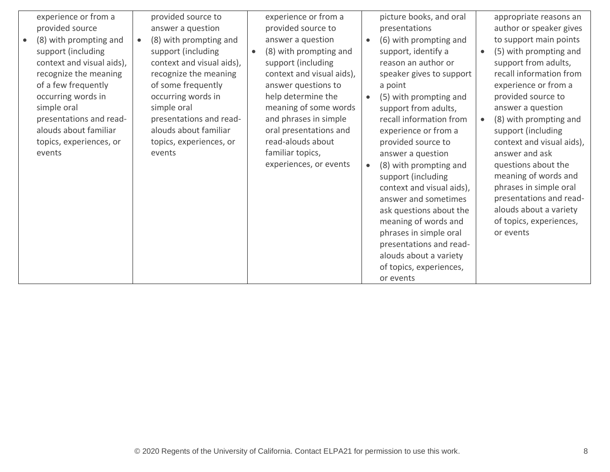| experience or from a<br>provided source<br>(8) with prompting and<br>support (including<br>context and visual aids),<br>recognize the meaning<br>of a few frequently<br>occurring words in<br>simple oral<br>presentations and read-<br>alouds about familiar<br>topics, experiences, or<br>events | provided source to<br>answer a question<br>(8) with prompting and<br>support (including<br>context and visual aids),<br>recognize the meaning<br>of some frequently<br>occurring words in<br>simple oral<br>presentations and read-<br>alouds about familiar<br>topics, experiences, or<br>events | experience or from a<br>provided source to<br>answer a question<br>(8) with prompting and<br>$\bullet$<br>support (including<br>context and visual aids),<br>answer questions to<br>help determine the<br>meaning of some words<br>and phrases in simple<br>oral presentations and<br>read-alouds about<br>familiar topics,<br>experiences, or events | picture books, and oral<br>presentations<br>(6) with prompting and<br>$\bullet$<br>support, identify a<br>reason an author or<br>speaker gives to support<br>a point<br>(5) with prompting and<br>$\bullet$<br>support from adults,<br>recall information from<br>experience or from a<br>provided source to<br>answer a question<br>(8) with prompting and<br>$\bullet$<br>support (including<br>context and visual aids),<br>answer and sometimes<br>ask questions about the<br>meaning of words and<br>phrases in simple oral<br>presentations and read-<br>alouds about a variety<br>of topics, experiences,<br>or events | appropriate reasons an<br>author or speaker gives<br>to support main points<br>(5) with prompting and<br>support from adults,<br>recall information from<br>experience or from a<br>provided source to<br>answer a question<br>(8) with prompting and<br>support (including<br>context and visual aids),<br>answer and ask<br>questions about the<br>meaning of words and<br>phrases in simple oral<br>presentations and read-<br>alouds about a variety<br>of topics, experiences,<br>or events |
|----------------------------------------------------------------------------------------------------------------------------------------------------------------------------------------------------------------------------------------------------------------------------------------------------|---------------------------------------------------------------------------------------------------------------------------------------------------------------------------------------------------------------------------------------------------------------------------------------------------|-------------------------------------------------------------------------------------------------------------------------------------------------------------------------------------------------------------------------------------------------------------------------------------------------------------------------------------------------------|-------------------------------------------------------------------------------------------------------------------------------------------------------------------------------------------------------------------------------------------------------------------------------------------------------------------------------------------------------------------------------------------------------------------------------------------------------------------------------------------------------------------------------------------------------------------------------------------------------------------------------|--------------------------------------------------------------------------------------------------------------------------------------------------------------------------------------------------------------------------------------------------------------------------------------------------------------------------------------------------------------------------------------------------------------------------------------------------------------------------------------------------|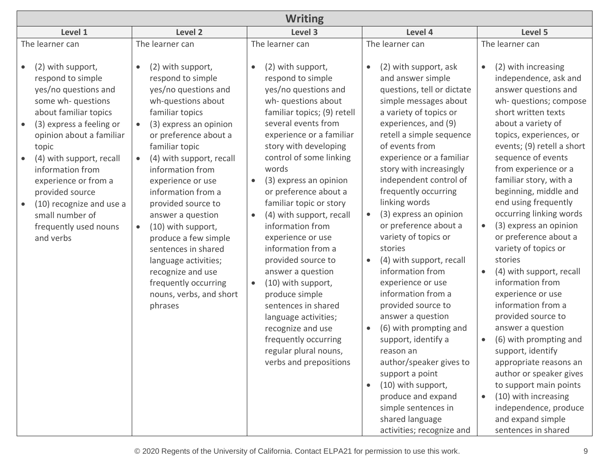| <b>Writing</b>                                                                                                                                                                                                                                                         |                                                                                                                                                                                                                                                                                                                                                                                                                                      |                                                                                                                                                                                                                                                                                                                                                                                                                                                                                                                    |                                                                                                                                                                                                                                                                                                                                                                                                                                                                                                                     |                                                                                                                                                                                                                                                                                                                                                                                                                                                                                                              |  |
|------------------------------------------------------------------------------------------------------------------------------------------------------------------------------------------------------------------------------------------------------------------------|--------------------------------------------------------------------------------------------------------------------------------------------------------------------------------------------------------------------------------------------------------------------------------------------------------------------------------------------------------------------------------------------------------------------------------------|--------------------------------------------------------------------------------------------------------------------------------------------------------------------------------------------------------------------------------------------------------------------------------------------------------------------------------------------------------------------------------------------------------------------------------------------------------------------------------------------------------------------|---------------------------------------------------------------------------------------------------------------------------------------------------------------------------------------------------------------------------------------------------------------------------------------------------------------------------------------------------------------------------------------------------------------------------------------------------------------------------------------------------------------------|--------------------------------------------------------------------------------------------------------------------------------------------------------------------------------------------------------------------------------------------------------------------------------------------------------------------------------------------------------------------------------------------------------------------------------------------------------------------------------------------------------------|--|
| Level 1                                                                                                                                                                                                                                                                | Level 2                                                                                                                                                                                                                                                                                                                                                                                                                              | Level 3                                                                                                                                                                                                                                                                                                                                                                                                                                                                                                            | Level 4                                                                                                                                                                                                                                                                                                                                                                                                                                                                                                             | Level 5                                                                                                                                                                                                                                                                                                                                                                                                                                                                                                      |  |
| The learner can<br>(2) with support,<br>respond to simple<br>yes/no questions and<br>some wh- questions                                                                                                                                                                | The learner can<br>(2) with support,<br>$\bullet$<br>respond to simple<br>yes/no questions and<br>wh-questions about                                                                                                                                                                                                                                                                                                                 | The learner can<br>(2) with support,<br>$\bullet$<br>respond to simple<br>yes/no questions and<br>wh- questions about                                                                                                                                                                                                                                                                                                                                                                                              | The learner can<br>(2) with support, ask<br>$\bullet$<br>and answer simple<br>questions, tell or dictate<br>simple messages about                                                                                                                                                                                                                                                                                                                                                                                   | The learner can<br>(2) with increasing<br>$\bullet$<br>independence, ask and<br>answer questions and<br>wh- questions; compose                                                                                                                                                                                                                                                                                                                                                                               |  |
| about familiar topics<br>(3) express a feeling or<br>opinion about a familiar<br>topic<br>(4) with support, recall<br>information from<br>experience or from a<br>provided source<br>(10) recognize and use a<br>small number of<br>frequently used nouns<br>and verbs | familiar topics<br>(3) express an opinion<br>or preference about a<br>familiar topic<br>(4) with support, recall<br>$\bullet$<br>information from<br>experience or use<br>information from a<br>provided source to<br>answer a question<br>(10) with support,<br>$\bullet$<br>produce a few simple<br>sentences in shared<br>language activities;<br>recognize and use<br>frequently occurring<br>nouns, verbs, and short<br>phrases | familiar topics; (9) retell<br>several events from<br>experience or a familiar<br>story with developing<br>control of some linking<br>words<br>(3) express an opinion<br>$\bullet$<br>or preference about a<br>familiar topic or story<br>(4) with support, recall<br>$\bullet$<br>information from<br>experience or use<br>information from a<br>provided source to<br>answer a question<br>(10) with support,<br>$\bullet$<br>produce simple<br>sentences in shared<br>language activities;<br>recognize and use | a variety of topics or<br>experiences, and (9)<br>retell a simple sequence<br>of events from<br>experience or a familiar<br>story with increasingly<br>independent control of<br>frequently occurring<br>linking words<br>(3) express an opinion<br>$\bullet$<br>or preference about a<br>variety of topics or<br>stories<br>(4) with support, recall<br>$\bullet$<br>information from<br>experience or use<br>information from a<br>provided source to<br>answer a question<br>(6) with prompting and<br>$\bullet$ | short written texts<br>about a variety of<br>topics, experiences, or<br>events; (9) retell a short<br>sequence of events<br>from experience or a<br>familiar story, with a<br>beginning, middle and<br>end using frequently<br>occurring linking words<br>(3) express an opinion<br>$\bullet$<br>or preference about a<br>variety of topics or<br>stories<br>(4) with support, recall<br>$\bullet$<br>information from<br>experience or use<br>information from a<br>provided source to<br>answer a question |  |
|                                                                                                                                                                                                                                                                        |                                                                                                                                                                                                                                                                                                                                                                                                                                      | frequently occurring<br>regular plural nouns,<br>verbs and prepositions                                                                                                                                                                                                                                                                                                                                                                                                                                            | support, identify a<br>reason an<br>author/speaker gives to<br>support a point<br>(10) with support,<br>$\bullet$<br>produce and expand<br>simple sentences in<br>shared language<br>activities; recognize and                                                                                                                                                                                                                                                                                                      | (6) with prompting and<br>$\bullet$<br>support, identify<br>appropriate reasons an<br>author or speaker gives<br>to support main points<br>(10) with increasing<br>$\bullet$<br>independence, produce<br>and expand simple<br>sentences in shared                                                                                                                                                                                                                                                            |  |